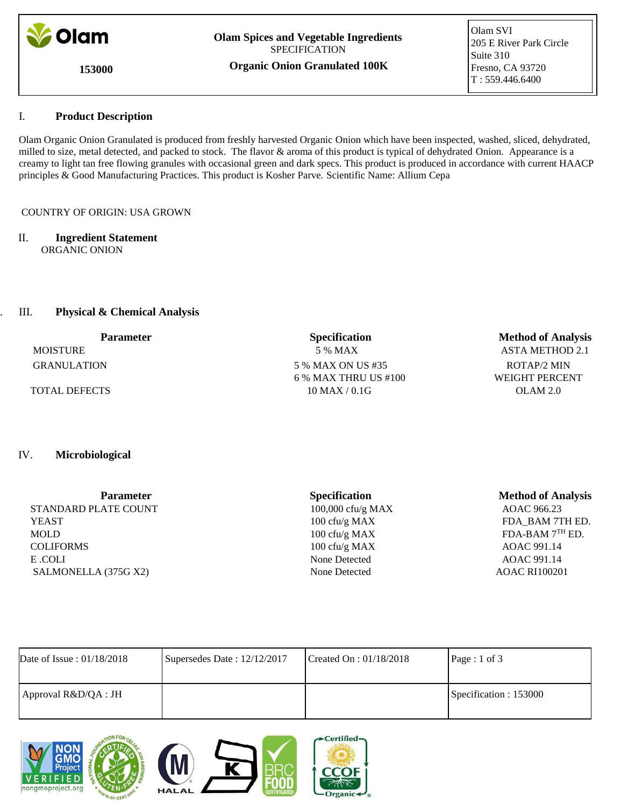

**Olam Spices and Vegetable Ingredients** SPECIFICATION

**153000**

**Organic Onion Granulated 100K**

Olam SVI 205 E River Park Circle Suite 310 Fresno, CA 93720 T : 559.446.6400

# I. I. **Product Description**

Olam Organic Onion Granulated is produced from freshly harvested Organic Onion which have been inspected, washed, sliced, dehydrated, milled to size, metal detected, and packed to stock. The flavor & aroma of this product is typical of dehydrated Onion. Appearance is a creamy to light tan free flowing granules with occasional green and dark specs. This product is produced in accordance with current HAACP principles & Good Manufacturing Practices. This product is Kosher Parve. Scientific Name: Allium Cepa

## COUNTRY OF ORIGIN: USA GROWN

#### II. **Ingredient Statement** ORGANIC ONION

# **III.** Physical & Chemical Analysis

| <b>Parameter</b>     | <b>Specification</b>   | <b>Method of Analysis</b> |  |
|----------------------|------------------------|---------------------------|--|
| <b>MOISTURE</b>      | 5 % MAX                | ASTA METHOD 2.1           |  |
| <b>GRANULATION</b>   | 5 % MAX ON US #35      | ROTAP/2 MIN               |  |
|                      | $6\%$ MAX THRU US #100 | WEIGHT PERCENT            |  |
| <b>TOTAL DEFECTS</b> | $10$ MAX / 0.1G        | OLAM 2.0                  |  |

# IV. **Microbiological**

| <b>Parameter</b>     | <b>Specification</b> | <b>Method of Analysis</b> |
|----------------------|----------------------|---------------------------|
| STANDARD PLATE COUNT | 100,000 cfu/g MAX    | AOAC 966.23               |
| <b>YEAST</b>         | 100 cfu/g MAX        | FDA_BAM 7TH ED.           |
| <b>MOLD</b>          | 100 cfu/g $MAX$      | FDA-BAM 7TH ED.           |
| <b>COLIFORMS</b>     | 100 cfu/g MAX        | AOAC 991.14               |
| E COLI               | None Detected        | AOAC 991.14               |
| SALMONELLA (375G X2) | None Detected        | <b>AOAC RI100201</b>      |

| Date of Issue: $01/18/2018$ | Supersedes Date: 12/12/2017 | Created On : $01/18/2018$ | Page : 1 of 3          |
|-----------------------------|-----------------------------|---------------------------|------------------------|
| Approval R&D/QA : JH        |                             |                           | Specification : 153000 |







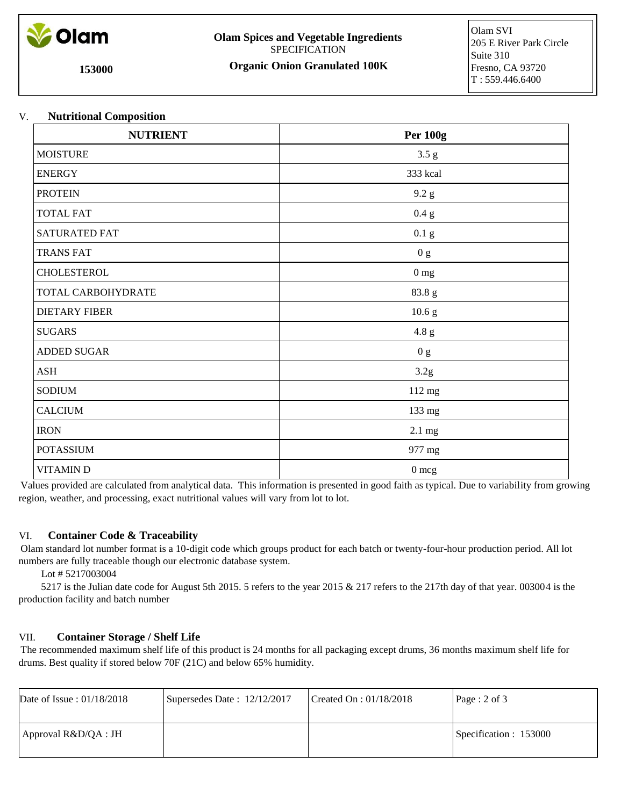

**Olam Spices and Vegetable Ingredients** SPECIFICATION

**153000**

**Organic Onion Granulated 100K**

### V. **Nutritional Composition**

| <b>NUTRIENT</b>      | <b>Per 100g</b>   |
|----------------------|-------------------|
| <b>MOISTURE</b>      | $3.5~\mathrm{g}$  |
| <b>ENERGY</b>        | 333 kcal          |
| <b>PROTEIN</b>       | 9.2 g             |
| <b>TOTAL FAT</b>     | 0.4 g             |
| SATURATED FAT        | $0.1\text{ g}$    |
| <b>TRANS FAT</b>     | 0 g               |
| CHOLESTEROL          | 0 <sub>mg</sub>   |
| TOTAL CARBOHYDRATE   | 83.8 g            |
| <b>DIETARY FIBER</b> | 10.6 <sub>g</sub> |
| <b>SUGARS</b>        | 4.8 g             |
| ADDED SUGAR          | 0 g               |
| <b>ASH</b>           | 3.2g              |
| <b>SODIUM</b>        | 112 mg            |
| <b>CALCIUM</b>       | 133 mg            |
| <b>IRON</b>          | 2.1 mg            |
| <b>POTASSIUM</b>     | 977 mg            |
| <b>VITAMIND</b>      | $0 \text{ mcg}$   |

Values provided are calculated from analytical data. This information is presented in good faith as typical. Due to variability from growing region, weather, and processing, exact nutritional values will vary from lot to lot.

### VI. **Container Code & Traceability**

Olam standard lot number format is a 10-digit code which groups product for each batch or twenty-four-hour production period. All lot numbers are fully traceable though our electronic database system.

Lot # 5217003004

 5217 is the Julian date code for August 5th 2015. 5 refers to the year 2015 & 217 refers to the 217th day of that year. 003004 is the production facility and batch number

#### VII. **Container Storage / Shelf Life**

The recommended maximum shelf life of this product is 24 months for all packaging except drums, 36 months maximum shelf life for drums. Best quality if stored below 70F (21C) and below 65% humidity.

| Date of Issue: $01/18/2018$ | Supersedes Date: $12/12/2017$ | Created On : $01/18/2018$ | Page: 2 of 3           |
|-----------------------------|-------------------------------|---------------------------|------------------------|
| Approval R&D/QA : JH        |                               |                           | Specification : 153000 |